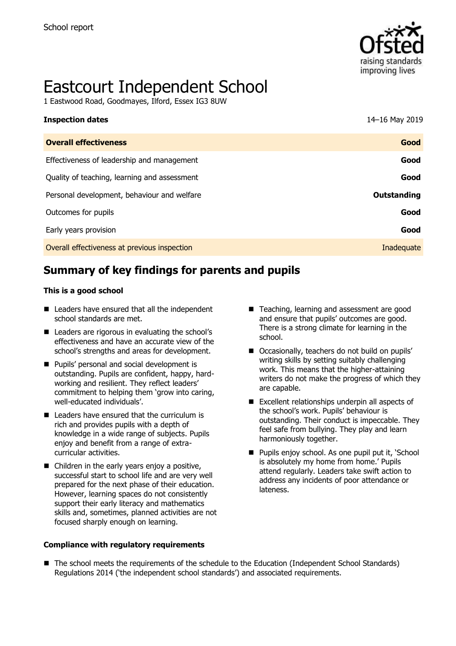

# Eastcourt Independent School

1 Eastwood Road, Goodmayes, Ilford, Essex IG3 8UW

| <b>Inspection dates</b>                      | 14-16 May 2019 |
|----------------------------------------------|----------------|
| <b>Overall effectiveness</b>                 | Good           |
| Effectiveness of leadership and management   | Good           |
| Quality of teaching, learning and assessment | Good           |
| Personal development, behaviour and welfare  | Outstanding    |
| Outcomes for pupils                          | Good           |
| Early years provision                        | Good           |
| Overall effectiveness at previous inspection | Inadequate     |

# **Summary of key findings for parents and pupils**

#### **This is a good school**

- Leaders have ensured that all the independent school standards are met.
- Leaders are rigorous in evaluating the school's effectiveness and have an accurate view of the school's strengths and areas for development.
- **Pupils' personal and social development is** outstanding. Pupils are confident, happy, hardworking and resilient. They reflect leaders' commitment to helping them 'grow into caring, well-educated individuals'.
- $\blacksquare$  Leaders have ensured that the curriculum is rich and provides pupils with a depth of knowledge in a wide range of subjects. Pupils enjoy and benefit from a range of extracurricular activities.
- Children in the early years enjoy a positive, successful start to school life and are very well prepared for the next phase of their education. However, learning spaces do not consistently support their early literacy and mathematics skills and, sometimes, planned activities are not focused sharply enough on learning.

**Compliance with regulatory requirements** 

- Teaching, learning and assessment are good and ensure that pupils' outcomes are good. There is a strong climate for learning in the school.
- Occasionally, teachers do not build on pupils' writing skills by setting suitably challenging work. This means that the higher-attaining writers do not make the progress of which they are capable.
- Excellent relationships underpin all aspects of the school's work. Pupils' behaviour is outstanding. Their conduct is impeccable. They feel safe from bullying. They play and learn harmoniously together.
- **Pupils enjoy school. As one pupil put it, 'School** is absolutely my home from home.' Pupils attend regularly. Leaders take swift action to address any incidents of poor attendance or lateness.
- The school meets the requirements of the schedule to the Education (Independent School Standards) Regulations 2014 ('the independent school standards') and associated requirements.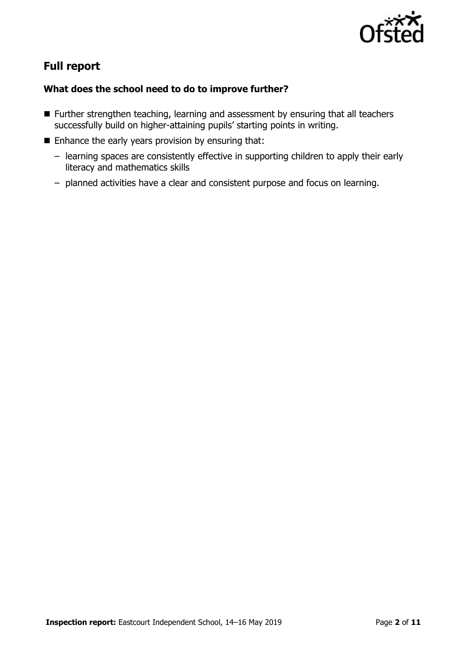

# **Full report**

### **What does the school need to do to improve further?**

- Further strengthen teaching, learning and assessment by ensuring that all teachers successfully build on higher-attaining pupils' starting points in writing.
- Enhance the early years provision by ensuring that:
	- learning spaces are consistently effective in supporting children to apply their early literacy and mathematics skills
	- planned activities have a clear and consistent purpose and focus on learning.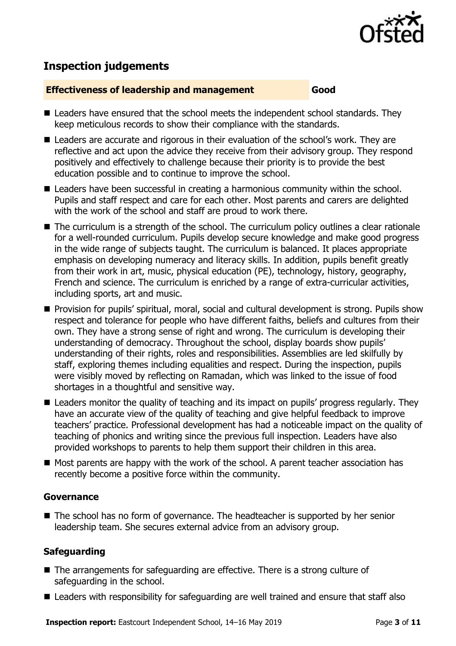

# **Inspection judgements**

#### **Effectiveness of leadership and management Good**

- Leaders have ensured that the school meets the independent school standards. They keep meticulous records to show their compliance with the standards.
- Leaders are accurate and rigorous in their evaluation of the school's work. They are reflective and act upon the advice they receive from their advisory group. They respond positively and effectively to challenge because their priority is to provide the best education possible and to continue to improve the school.
- Leaders have been successful in creating a harmonious community within the school. Pupils and staff respect and care for each other. Most parents and carers are delighted with the work of the school and staff are proud to work there.
- The curriculum is a strength of the school. The curriculum policy outlines a clear rationale for a well-rounded curriculum. Pupils develop secure knowledge and make good progress in the wide range of subjects taught. The curriculum is balanced. It places appropriate emphasis on developing numeracy and literacy skills. In addition, pupils benefit greatly from their work in art, music, physical education (PE), technology, history, geography, French and science. The curriculum is enriched by a range of extra-curricular activities, including sports, art and music.
- **Provision for pupils' spiritual, moral, social and cultural development is strong. Pupils show** respect and tolerance for people who have different faiths, beliefs and cultures from their own. They have a strong sense of right and wrong. The curriculum is developing their understanding of democracy. Throughout the school, display boards show pupils' understanding of their rights, roles and responsibilities. Assemblies are led skilfully by staff, exploring themes including equalities and respect. During the inspection, pupils were visibly moved by reflecting on Ramadan, which was linked to the issue of food shortages in a thoughtful and sensitive way.
- Leaders monitor the quality of teaching and its impact on pupils' progress regularly. They have an accurate view of the quality of teaching and give helpful feedback to improve teachers' practice. Professional development has had a noticeable impact on the quality of teaching of phonics and writing since the previous full inspection. Leaders have also provided workshops to parents to help them support their children in this area.
- Most parents are happy with the work of the school. A parent teacher association has recently become a positive force within the community.

#### **Governance**

■ The school has no form of governance. The headteacher is supported by her senior leadership team. She secures external advice from an advisory group.

### **Safeguarding**

- The arrangements for safeguarding are effective. There is a strong culture of safeguarding in the school.
- Leaders with responsibility for safeguarding are well trained and ensure that staff also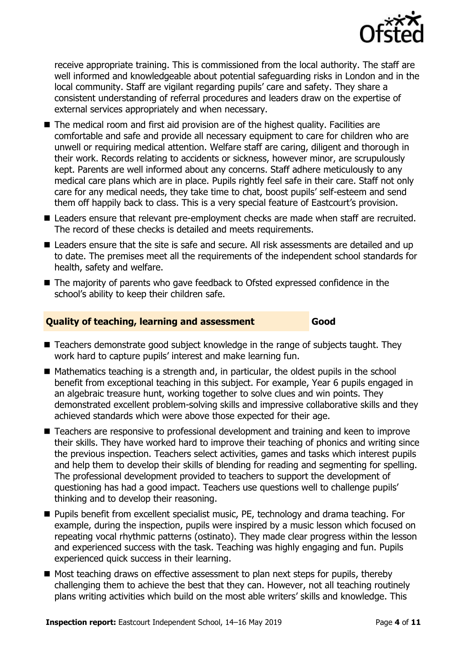

receive appropriate training. This is commissioned from the local authority. The staff are well informed and knowledgeable about potential safeguarding risks in London and in the local community. Staff are vigilant regarding pupils' care and safety. They share a consistent understanding of referral procedures and leaders draw on the expertise of external services appropriately and when necessary.

- The medical room and first aid provision are of the highest quality. Facilities are comfortable and safe and provide all necessary equipment to care for children who are unwell or requiring medical attention. Welfare staff are caring, diligent and thorough in their work. Records relating to accidents or sickness, however minor, are scrupulously kept. Parents are well informed about any concerns. Staff adhere meticulously to any medical care plans which are in place. Pupils rightly feel safe in their care. Staff not only care for any medical needs, they take time to chat, boost pupils' self-esteem and send them off happily back to class. This is a very special feature of Eastcourt's provision.
- Leaders ensure that relevant pre-employment checks are made when staff are recruited. The record of these checks is detailed and meets requirements.
- Leaders ensure that the site is safe and secure. All risk assessments are detailed and up to date. The premises meet all the requirements of the independent school standards for health, safety and welfare.
- The majority of parents who gave feedback to Ofsted expressed confidence in the school's ability to keep their children safe.

#### **Quality of teaching, learning and assessment Good**

- Teachers demonstrate good subject knowledge in the range of subjects taught. They work hard to capture pupils' interest and make learning fun.
- $\blacksquare$  Mathematics teaching is a strength and, in particular, the oldest pupils in the school benefit from exceptional teaching in this subject. For example, Year 6 pupils engaged in an algebraic treasure hunt, working together to solve clues and win points. They demonstrated excellent problem-solving skills and impressive collaborative skills and they achieved standards which were above those expected for their age.
- Teachers are responsive to professional development and training and keen to improve their skills. They have worked hard to improve their teaching of phonics and writing since the previous inspection. Teachers select activities, games and tasks which interest pupils and help them to develop their skills of blending for reading and segmenting for spelling. The professional development provided to teachers to support the development of questioning has had a good impact. Teachers use questions well to challenge pupils' thinking and to develop their reasoning.
- **Pupils benefit from excellent specialist music, PE, technology and drama teaching. For** example, during the inspection, pupils were inspired by a music lesson which focused on repeating vocal rhythmic patterns (ostinato). They made clear progress within the lesson and experienced success with the task. Teaching was highly engaging and fun. Pupils experienced quick success in their learning.
- Most teaching draws on effective assessment to plan next steps for pupils, thereby challenging them to achieve the best that they can. However, not all teaching routinely plans writing activities which build on the most able writers' skills and knowledge. This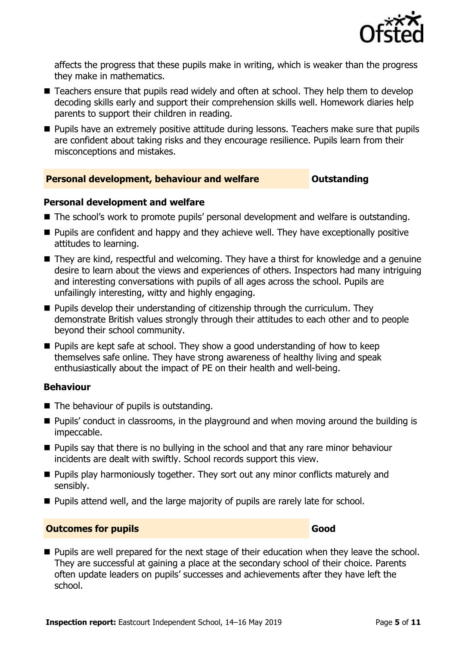

affects the progress that these pupils make in writing, which is weaker than the progress they make in mathematics.

- Teachers ensure that pupils read widely and often at school. They help them to develop decoding skills early and support their comprehension skills well. Homework diaries help parents to support their children in reading.
- **Pupils have an extremely positive attitude during lessons. Teachers make sure that pupils** are confident about taking risks and they encourage resilience. Pupils learn from their misconceptions and mistakes.

#### **Personal development, behaviour and welfare <b>COUNG COUTS** Outstanding

#### **Personal development and welfare**

- The school's work to promote pupils' personal development and welfare is outstanding.
- **Pupils are confident and happy and they achieve well. They have exceptionally positive** attitudes to learning.
- They are kind, respectful and welcoming. They have a thirst for knowledge and a genuine desire to learn about the views and experiences of others. Inspectors had many intriguing and interesting conversations with pupils of all ages across the school. Pupils are unfailingly interesting, witty and highly engaging.
- $\blacksquare$  Pupils develop their understanding of citizenship through the curriculum. They demonstrate British values strongly through their attitudes to each other and to people beyond their school community.
- **Pupils are kept safe at school. They show a good understanding of how to keep** themselves safe online. They have strong awareness of healthy living and speak enthusiastically about the impact of PE on their health and well-being.

#### **Behaviour**

- The behaviour of pupils is outstanding.
- Pupils' conduct in classrooms, in the playground and when moving around the building is impeccable.
- **Pupils say that there is no bullying in the school and that any rare minor behaviour** incidents are dealt with swiftly. School records support this view.
- $\blacksquare$  Pupils play harmoniously together. They sort out any minor conflicts maturely and sensibly.
- **Pupils attend well, and the large majority of pupils are rarely late for school.**

#### **Outcomes for pupils Good**

**Pupils are well prepared for the next stage of their education when they leave the school.** They are successful at gaining a place at the secondary school of their choice. Parents often update leaders on pupils' successes and achievements after they have left the school.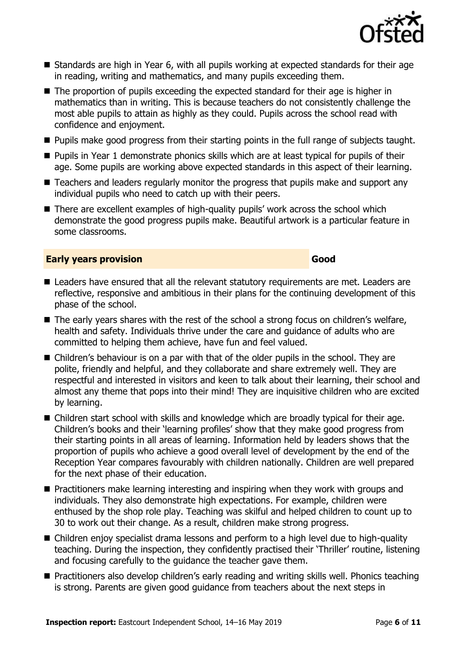

- Standards are high in Year 6, with all pupils working at expected standards for their age in reading, writing and mathematics, and many pupils exceeding them.
- The proportion of pupils exceeding the expected standard for their age is higher in mathematics than in writing. This is because teachers do not consistently challenge the most able pupils to attain as highly as they could. Pupils across the school read with confidence and enjoyment.
- **Pupils make good progress from their starting points in the full range of subjects taught.**
- **Pupils in Year 1 demonstrate phonics skills which are at least typical for pupils of their** age. Some pupils are working above expected standards in this aspect of their learning.
- Teachers and leaders regularly monitor the progress that pupils make and support any individual pupils who need to catch up with their peers.
- There are excellent examples of high-quality pupils' work across the school which demonstrate the good progress pupils make. Beautiful artwork is a particular feature in some classrooms.

#### **Early years provision Good**

- Leaders have ensured that all the relevant statutory requirements are met. Leaders are reflective, responsive and ambitious in their plans for the continuing development of this phase of the school.
- The early years shares with the rest of the school a strong focus on children's welfare, health and safety. Individuals thrive under the care and guidance of adults who are committed to helping them achieve, have fun and feel valued.
- Children's behaviour is on a par with that of the older pupils in the school. They are polite, friendly and helpful, and they collaborate and share extremely well. They are respectful and interested in visitors and keen to talk about their learning, their school and almost any theme that pops into their mind! They are inquisitive children who are excited by learning.
- Children start school with skills and knowledge which are broadly typical for their age. Children's books and their 'learning profiles' show that they make good progress from their starting points in all areas of learning. Information held by leaders shows that the proportion of pupils who achieve a good overall level of development by the end of the Reception Year compares favourably with children nationally. Children are well prepared for the next phase of their education.
- **Practitioners make learning interesting and inspiring when they work with groups and** individuals. They also demonstrate high expectations. For example, children were enthused by the shop role play. Teaching was skilful and helped children to count up to 30 to work out their change. As a result, children make strong progress.
- Children enjoy specialist drama lessons and perform to a high level due to high-quality teaching. During the inspection, they confidently practised their 'Thriller' routine, listening and focusing carefully to the guidance the teacher gave them.
- **Practitioners also develop children's early reading and writing skills well. Phonics teaching** is strong. Parents are given good guidance from teachers about the next steps in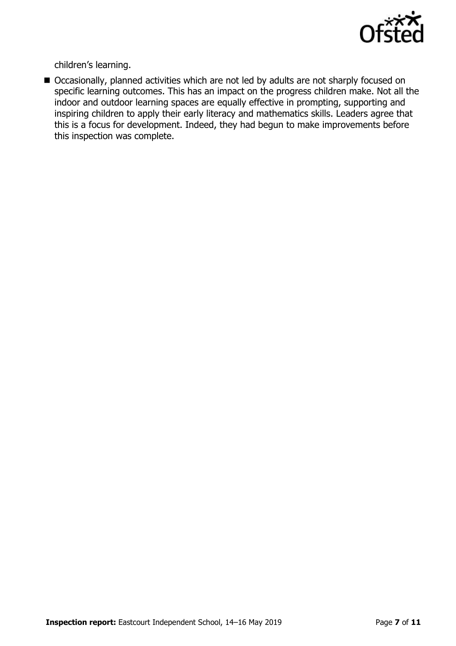

children's learning.

■ Occasionally, planned activities which are not led by adults are not sharply focused on specific learning outcomes. This has an impact on the progress children make. Not all the indoor and outdoor learning spaces are equally effective in prompting, supporting and inspiring children to apply their early literacy and mathematics skills. Leaders agree that this is a focus for development. Indeed, they had begun to make improvements before this inspection was complete.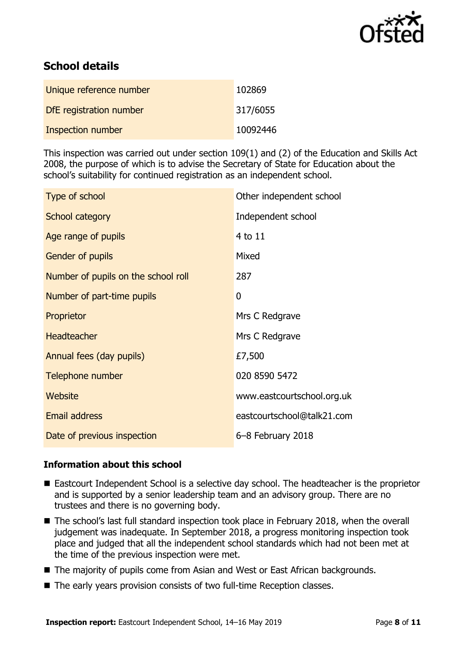

# **School details**

| Unique reference number | 102869   |
|-------------------------|----------|
| DfE registration number | 317/6055 |
| Inspection number       | 10092446 |

This inspection was carried out under section 109(1) and (2) of the Education and Skills Act 2008, the purpose of which is to advise the Secretary of State for Education about the school's suitability for continued registration as an independent school.

| Type of school                      | Other independent school   |
|-------------------------------------|----------------------------|
| School category                     | Independent school         |
| Age range of pupils                 | 4 to 11                    |
| Gender of pupils                    | Mixed                      |
| Number of pupils on the school roll | 287                        |
| Number of part-time pupils          | 0                          |
| Proprietor                          | Mrs C Redgrave             |
| <b>Headteacher</b>                  | Mrs C Redgrave             |
| Annual fees (day pupils)            | £7,500                     |
| Telephone number                    | 020 8590 5472              |
| Website                             | www.eastcourtschool.org.uk |
| <b>Email address</b>                | eastcourtschool@talk21.com |
| Date of previous inspection         | 6-8 February 2018          |

#### **Information about this school**

- Eastcourt Independent School is a selective day school. The headteacher is the proprietor and is supported by a senior leadership team and an advisory group. There are no trustees and there is no governing body.
- The school's last full standard inspection took place in February 2018, when the overall judgement was inadequate. In September 2018, a progress monitoring inspection took place and judged that all the independent school standards which had not been met at the time of the previous inspection were met.
- The majority of pupils come from Asian and West or East African backgrounds.
- The early years provision consists of two full-time Reception classes.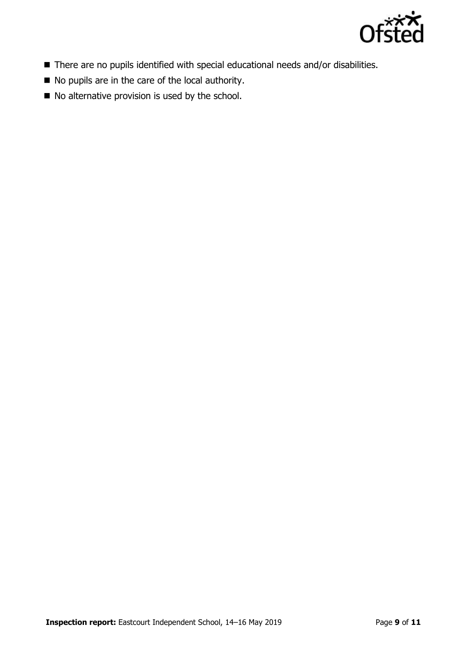

- There are no pupils identified with special educational needs and/or disabilities.
- No pupils are in the care of the local authority.
- $\blacksquare$  No alternative provision is used by the school.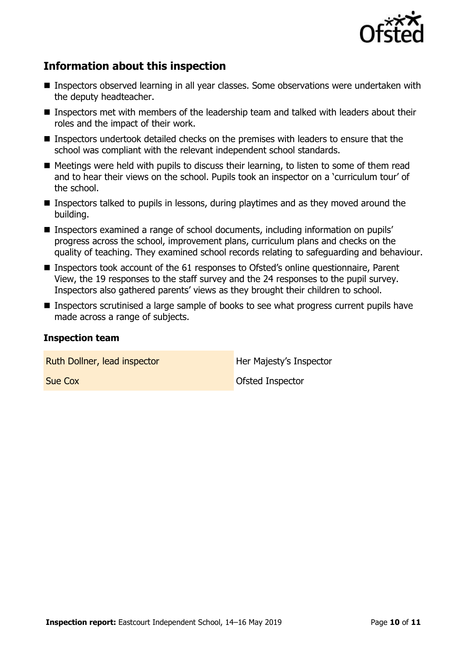

## **Information about this inspection**

- Inspectors observed learning in all year classes. Some observations were undertaken with the deputy headteacher.
- Inspectors met with members of the leadership team and talked with leaders about their roles and the impact of their work.
- **Inspectors undertook detailed checks on the premises with leaders to ensure that the** school was compliant with the relevant independent school standards.
- $\blacksquare$  Meetings were held with pupils to discuss their learning, to listen to some of them read and to hear their views on the school. Pupils took an inspector on a 'curriculum tour' of the school.
- Inspectors talked to pupils in lessons, during playtimes and as they moved around the building.
- Inspectors examined a range of school documents, including information on pupils' progress across the school, improvement plans, curriculum plans and checks on the quality of teaching. They examined school records relating to safeguarding and behaviour.
- Inspectors took account of the 61 responses to Ofsted's online questionnaire, Parent View, the 19 responses to the staff survey and the 24 responses to the pupil survey. Inspectors also gathered parents' views as they brought their children to school.
- **Inspectors scrutinised a large sample of books to see what progress current pupils have** made across a range of subjects.

#### **Inspection team**

Ruth Dollner, lead inspector **Her Majesty's Inspector** 

**Sue Cox** Ofsted Inspector